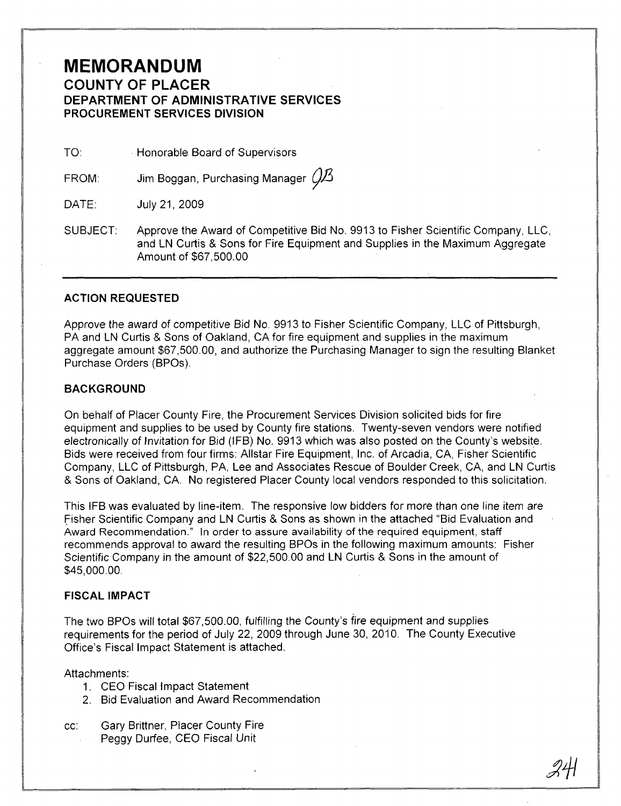## **MEMORANDUM COUNTY OF PLACER DEPARTMENT OF ADMINISTRATIVE SERVICES PROCUREMENT SERVICES DIVISION**

TO: **Honorable Board of Supervisors** 

FROM: Jim Boggan, Purchasing Manager  $\mathcal{G}\mathcal{B}$ 

DATE: JUly21,2009

SUBJECT: Approve the Award of Competitive Bid No. 9913 to Fisher Scientific Company, LLC, and LN Curtis & Sons for Fire Equipment and Supplies in the Maximum Aggregate Amount of \$67,500.00

## **ACTION REQUESTED**

Approve the award of competitive Bid No. 9913 to Fisher Scientific Company, LLC of Pittsburgh, PA and LN Curtis & Sons of Oakland, CA for fire equipment and supplies in the maximum aggregate amount \$67,500.00, and authorize the Purchasing Manager to sign the resulting Blanket Purchase Orders (BPOs).

## **BACKGROUND**

On behalf of Placer County Fire, the Procurement Services Division solicited bids for fire equipment and supplies to be used by County fire stations. Twenty-seven vendors were notified electronically of Invitation for Bid (IFB) No. 9913 which was also posted on the County's website. Bids were received from four firms: Allstar Fire Equipment, Inc. of Arcadia, CA, Fisher Scientific Company, LLC of Pittsburgh, PA, Lee and Associates Rescue of Boulder Creek, CA, and LN Curtis & Sons of Oakland, CA. No registered Placer County local vendors responded to this solicitation.

This IFB was evaluated by line-item. The responsive low bidders for more than one line item are fisher Scientific Company and LN Curtis & Sons as shown in the attached "Bid Evaluation and Award Recommendation." In order to assure availability of the required equipment, staff recommends approval to award the resulting BPOs in the following maximum amounts: Fisher Scientific Company in the amount of \$22,500.00 and LN Curtis & Sons in the amount of \$45,000.00.

### **FISCAL IMPACT**

The two BPOs will total \$67,500.00, fulfilling the County's fire equipment and supplies requirements for the period of July 22, 2009 through June 30, 2010. The County Executive Office's Fiscal Impact Statement is attached.

Attachments:

- 1. CEO Fiscal Impact Statement
- 2. Bid Evaluation and Award Recommendation
- cc: Gary Brittner, Placer County Fire Peggy Durfee, CEO Fiscal Unit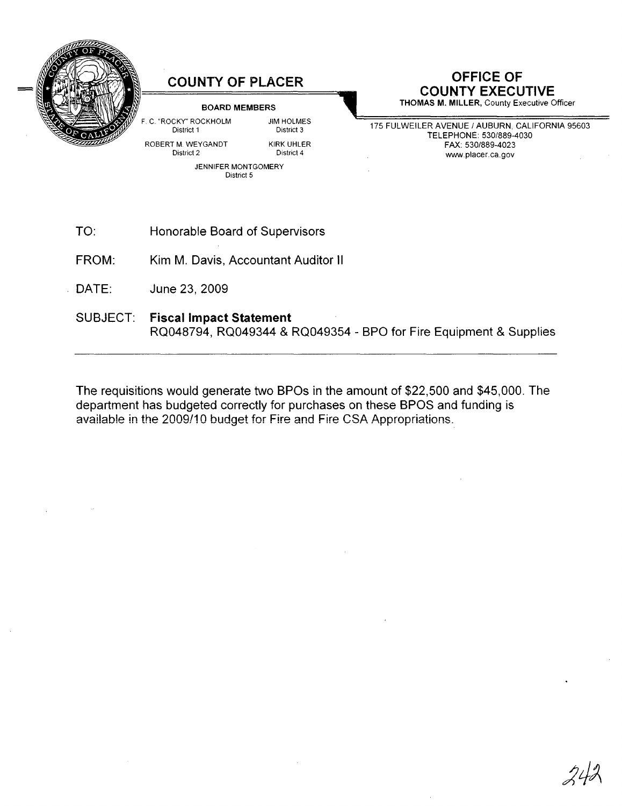

## **COUNTY OF PLACER**

#### BOARD MEMBERS

JIM HOLMES District 3 KIRK UHLER District 4

C. "ROCKY" ROCKHOLM District 1

ROBERT M. WEYGANDT District 2

> JENNIFER MONTGOMERY District 5

# **OFFICE OF COUNTY EXECUTIVE**

THOMAS M. MILLER, County Executive Officer

175 FULWEILER AVENUE / AUBURN, CALIFORNIA 95603 TELEPHONE: 530/889-4030 FAX: 530/889-4023 www.placer.ca.gov

- TO: Honorable Board of Supervisors
- FROM: Kim M. Davis, Accountant Auditor **II**
- DATE: June 23,2009
- SUBJECT: Fiscal Impact **Statement** RQ048794, RQ049344 & RQ049354 - BPO for Fire Equipment & Supplies

The requisitions would generate two BPOs in the amount of \$22,500 and \$45,000. The department has budgeted correctly for purchases on these BPOS and funding is available in the 2009/10 budget for Fire and Fire CSA Appropriations.